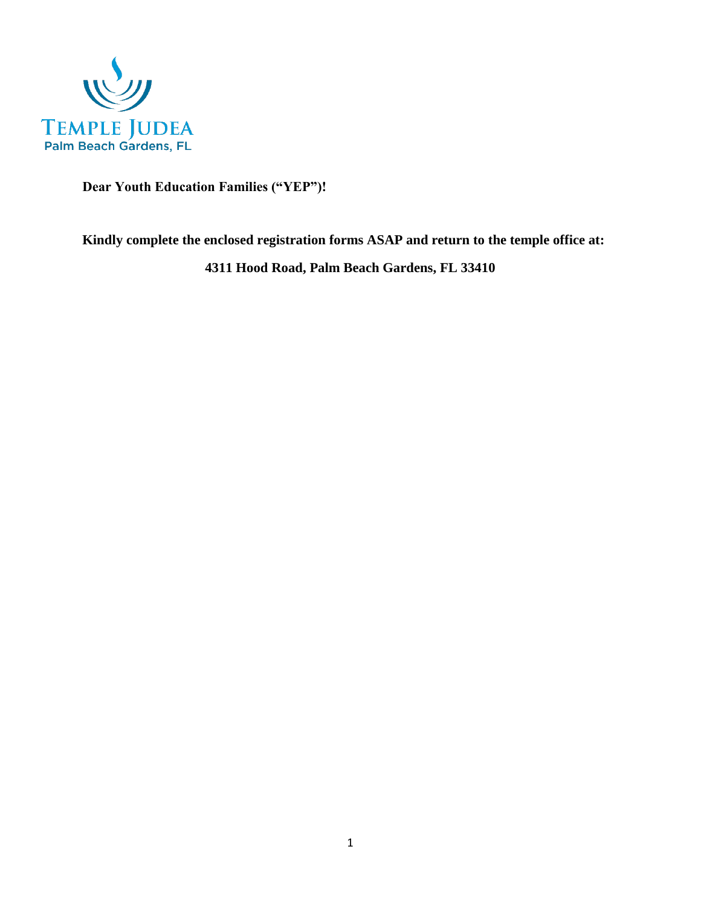

 **Dear Youth Education Families ("YEP")!**

**Kindly complete the enclosed registration forms ASAP and return to the temple office at:**

**4311 Hood Road, Palm Beach Gardens, FL 33410**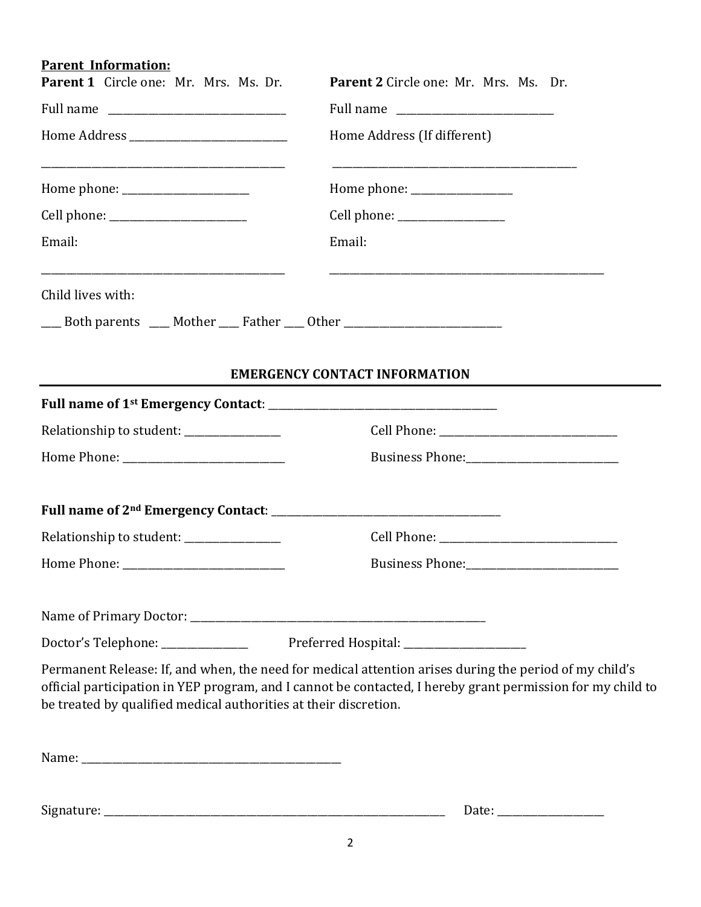# **Parent Information:**

| Parent 1 Circle one: Mr. Mrs. Ms. Dr.                                            | Parent 2 Circle one: Mr. Mrs. Ms. Dr.                                                                                                                                                                                 |  |  |
|----------------------------------------------------------------------------------|-----------------------------------------------------------------------------------------------------------------------------------------------------------------------------------------------------------------------|--|--|
|                                                                                  | Full name                                                                                                                                                                                                             |  |  |
|                                                                                  | Home Address (If different)                                                                                                                                                                                           |  |  |
|                                                                                  |                                                                                                                                                                                                                       |  |  |
|                                                                                  | Cell phone: _________________                                                                                                                                                                                         |  |  |
| Email:                                                                           | Email:                                                                                                                                                                                                                |  |  |
| Child lives with:                                                                |                                                                                                                                                                                                                       |  |  |
| ___ Both parents ___ Mother ___ Father ___ Other _______________________________ |                                                                                                                                                                                                                       |  |  |
|                                                                                  |                                                                                                                                                                                                                       |  |  |
|                                                                                  | <b>EMERGENCY CONTACT INFORMATION</b>                                                                                                                                                                                  |  |  |
|                                                                                  |                                                                                                                                                                                                                       |  |  |
|                                                                                  |                                                                                                                                                                                                                       |  |  |
|                                                                                  |                                                                                                                                                                                                                       |  |  |
|                                                                                  |                                                                                                                                                                                                                       |  |  |
|                                                                                  |                                                                                                                                                                                                                       |  |  |
| Relationship to student: ______________                                          |                                                                                                                                                                                                                       |  |  |
|                                                                                  |                                                                                                                                                                                                                       |  |  |
|                                                                                  |                                                                                                                                                                                                                       |  |  |
|                                                                                  |                                                                                                                                                                                                                       |  |  |
|                                                                                  | Doctor's Telephone: ____________________ Preferred Hospital: ___________________                                                                                                                                      |  |  |
| be treated by qualified medical authorities at their discretion.                 | Permanent Release: If, and when, the need for medical attention arises during the period of my child's<br>official participation in YEP program, and I cannot be contacted, I hereby grant permission for my child to |  |  |
|                                                                                  |                                                                                                                                                                                                                       |  |  |
|                                                                                  |                                                                                                                                                                                                                       |  |  |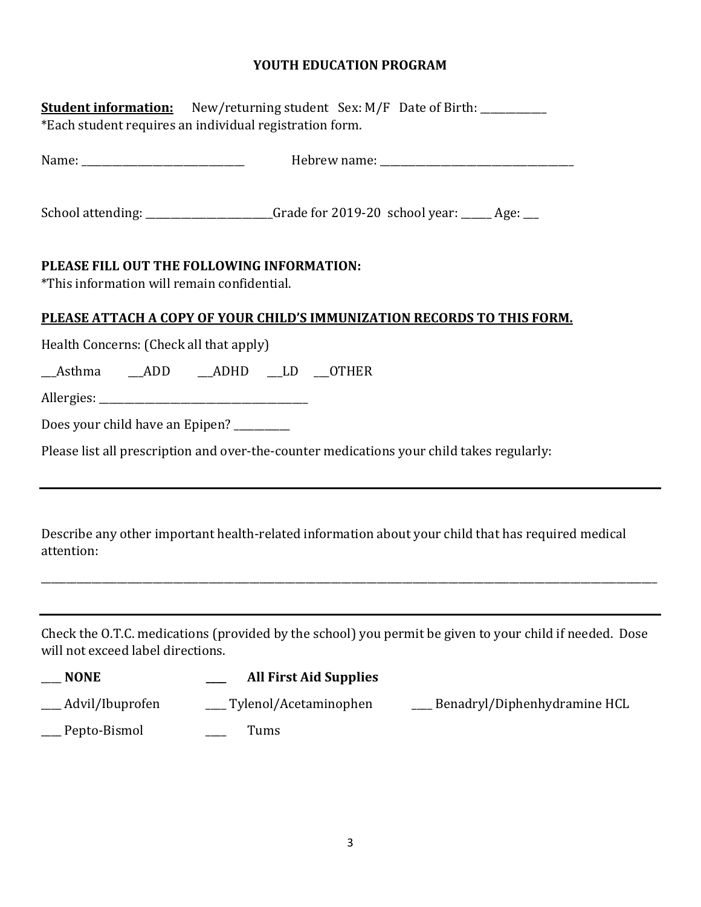### **YOUTH EDUCATION PROGRAM**

| <b>Student information:</b> New/returning student Sex: M/F Date of Birth: ___________<br>*Each student requires an individual registration form. |
|--------------------------------------------------------------------------------------------------------------------------------------------------|
|                                                                                                                                                  |
| School attending: ___________________Grade for 2019-20 school year: _____ Age: __                                                                |
| PLEASE FILL OUT THE FOLLOWING INFORMATION:<br>*This information will remain confidential.                                                        |
| PLEASE ATTACH A COPY OF YOUR CHILD'S IMMUNIZATION RECORDS TO THIS FORM.                                                                          |
| Health Concerns: (Check all that apply)                                                                                                          |
| Asthma ADD ADHD LD OTHER                                                                                                                         |
|                                                                                                                                                  |
| Does your child have an Epipen? ________                                                                                                         |
| Please list all prescription and over-the-counter medications your child takes regularly:                                                        |
| Describe any other important health-related information about your child that has required medical<br>attention:                                 |
|                                                                                                                                                  |
| Check the O.T.C. medications (provided by the school) you permit be given to your child if needed. Dose<br>will not exceed label directions.     |
| <b>All First Aid Supplies</b><br><b>NONE</b>                                                                                                     |
| Advil/Ibuprofen<br>Tylenol/Acetaminophen<br>Benadryl/Diphenhydramine HCL                                                                         |

\_\_\_\_ Pepto-Bismol \_\_\_\_ Tums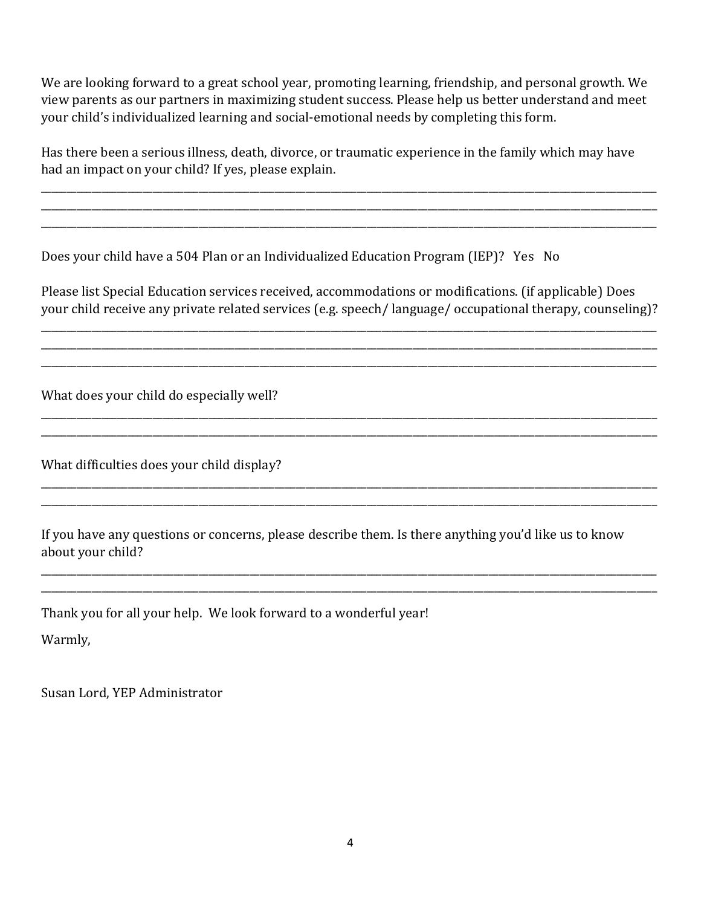We are looking forward to a great school year, promoting learning, friendship, and personal growth. We view parents as our partners in maximizing student success. Please help us better understand and meet your child's individualized learning and social-emotional needs by completing this form.

Has there been a serious illness, death, divorce, or traumatic experience in the family which may have had an impact on your child? If yes, please explain.

\_\_\_\_\_\_\_\_\_\_\_\_\_\_\_\_\_\_\_\_\_\_\_\_\_\_\_\_\_\_\_\_\_\_\_\_\_\_\_\_\_\_\_\_\_\_\_\_\_\_\_\_\_\_\_\_\_\_\_\_\_\_\_\_\_\_\_\_\_\_\_\_\_\_\_\_\_\_\_\_\_\_\_\_\_\_\_\_\_\_\_\_\_\_\_\_\_\_\_\_\_\_\_\_\_\_\_\_\_\_\_\_\_\_\_\_\_\_\_\_\_ \_\_\_\_\_\_\_\_\_\_\_\_\_\_\_\_\_\_\_\_\_\_\_\_\_\_\_\_\_\_\_\_\_\_\_\_\_\_\_\_\_\_\_\_\_\_\_\_\_\_\_\_\_\_\_\_\_\_\_\_\_\_\_\_\_\_\_\_\_\_\_\_\_\_\_\_\_\_\_\_\_\_\_\_\_\_\_\_\_\_\_\_\_\_\_\_\_\_\_\_\_\_\_\_\_\_\_\_\_\_\_\_\_\_\_\_\_\_\_\_\_ \_\_\_\_\_\_\_\_\_\_\_\_\_\_\_\_\_\_\_\_\_\_\_\_\_\_\_\_\_\_\_\_\_\_\_\_\_\_\_\_\_\_\_\_\_\_\_\_\_\_\_\_\_\_\_\_\_\_\_\_\_\_\_\_\_\_\_\_\_\_\_\_\_\_\_\_\_\_\_\_\_\_\_\_\_\_\_\_\_\_\_\_\_\_\_\_\_\_\_\_\_\_\_\_\_\_\_\_\_\_\_\_\_\_\_\_\_\_\_\_\_

Does your child have a 504 Plan or an Individualized Education Program (IEP)? Yes No

Please list Special Education services received, accommodations or modifications. (if applicable) Does your child receive any private related services (e.g. speech/ language/ occupational therapy, counseling)?

\_\_\_\_\_\_\_\_\_\_\_\_\_\_\_\_\_\_\_\_\_\_\_\_\_\_\_\_\_\_\_\_\_\_\_\_\_\_\_\_\_\_\_\_\_\_\_\_\_\_\_\_\_\_\_\_\_\_\_\_\_\_\_\_\_\_\_\_\_\_\_\_\_\_\_\_\_\_\_\_\_\_\_\_\_\_\_\_\_\_\_\_\_\_\_\_\_\_\_\_\_\_\_\_\_\_\_\_\_\_\_\_\_\_\_\_\_\_\_\_\_ \_\_\_\_\_\_\_\_\_\_\_\_\_\_\_\_\_\_\_\_\_\_\_\_\_\_\_\_\_\_\_\_\_\_\_\_\_\_\_\_\_\_\_\_\_\_\_\_\_\_\_\_\_\_\_\_\_\_\_\_\_\_\_\_\_\_\_\_\_\_\_\_\_\_\_\_\_\_\_\_\_\_\_\_\_\_\_\_\_\_\_\_\_\_\_\_\_\_\_\_\_\_\_\_\_\_\_\_\_\_\_\_\_\_\_\_\_\_\_\_\_ \_\_\_\_\_\_\_\_\_\_\_\_\_\_\_\_\_\_\_\_\_\_\_\_\_\_\_\_\_\_\_\_\_\_\_\_\_\_\_\_\_\_\_\_\_\_\_\_\_\_\_\_\_\_\_\_\_\_\_\_\_\_\_\_\_\_\_\_\_\_\_\_\_\_\_\_\_\_\_\_\_\_\_\_\_\_\_\_\_\_\_\_\_\_\_\_\_\_\_\_\_\_\_\_\_\_\_\_\_\_\_\_\_\_\_\_\_\_\_\_\_

\_\_\_\_\_\_\_\_\_\_\_\_\_\_\_\_\_\_\_\_\_\_\_\_\_\_\_\_\_\_\_\_\_\_\_\_\_\_\_\_\_\_\_\_\_\_\_\_\_\_\_\_\_\_\_\_\_\_\_\_\_\_\_\_\_\_\_\_\_\_\_\_\_\_\_\_\_\_\_\_\_\_\_\_\_\_\_\_\_\_\_\_\_\_\_\_\_\_\_\_\_\_\_\_\_\_\_\_\_\_\_\_\_\_\_\_\_\_\_\_\_ \_\_\_\_\_\_\_\_\_\_\_\_\_\_\_\_\_\_\_\_\_\_\_\_\_\_\_\_\_\_\_\_\_\_\_\_\_\_\_\_\_\_\_\_\_\_\_\_\_\_\_\_\_\_\_\_\_\_\_\_\_\_\_\_\_\_\_\_\_\_\_\_\_\_\_\_\_\_\_\_\_\_\_\_\_\_\_\_\_\_\_\_\_\_\_\_\_\_\_\_\_\_\_\_\_\_\_\_\_\_\_\_\_\_\_\_\_\_\_\_\_

\_\_\_\_\_\_\_\_\_\_\_\_\_\_\_\_\_\_\_\_\_\_\_\_\_\_\_\_\_\_\_\_\_\_\_\_\_\_\_\_\_\_\_\_\_\_\_\_\_\_\_\_\_\_\_\_\_\_\_\_\_\_\_\_\_\_\_\_\_\_\_\_\_\_\_\_\_\_\_\_\_\_\_\_\_\_\_\_\_\_\_\_\_\_\_\_\_\_\_\_\_\_\_\_\_\_\_\_\_\_\_\_\_\_\_\_\_\_\_\_\_ \_\_\_\_\_\_\_\_\_\_\_\_\_\_\_\_\_\_\_\_\_\_\_\_\_\_\_\_\_\_\_\_\_\_\_\_\_\_\_\_\_\_\_\_\_\_\_\_\_\_\_\_\_\_\_\_\_\_\_\_\_\_\_\_\_\_\_\_\_\_\_\_\_\_\_\_\_\_\_\_\_\_\_\_\_\_\_\_\_\_\_\_\_\_\_\_\_\_\_\_\_\_\_\_\_\_\_\_\_\_\_\_\_\_\_\_\_\_\_\_\_

\_\_\_\_\_\_\_\_\_\_\_\_\_\_\_\_\_\_\_\_\_\_\_\_\_\_\_\_\_\_\_\_\_\_\_\_\_\_\_\_\_\_\_\_\_\_\_\_\_\_\_\_\_\_\_\_\_\_\_\_\_\_\_\_\_\_\_\_\_\_\_\_\_\_\_\_\_\_\_\_\_\_\_\_\_\_\_\_\_\_\_\_\_\_\_\_\_\_\_\_\_\_\_\_\_\_\_\_\_\_\_\_\_\_\_\_\_\_\_\_\_ \_\_\_\_\_\_\_\_\_\_\_\_\_\_\_\_\_\_\_\_\_\_\_\_\_\_\_\_\_\_\_\_\_\_\_\_\_\_\_\_\_\_\_\_\_\_\_\_\_\_\_\_\_\_\_\_\_\_\_\_\_\_\_\_\_\_\_\_\_\_\_\_\_\_\_\_\_\_\_\_\_\_\_\_\_\_\_\_\_\_\_\_\_\_\_\_\_\_\_\_\_\_\_\_\_\_\_\_\_\_\_\_\_\_\_\_\_\_\_\_\_

What does your child do especially well?

What difficulties does your child display?

If you have any questions or concerns, please describe them. Is there anything you'd like us to know about your child?

Thank you for all your help. We look forward to a wonderful year!

Warmly,

Susan Lord, YEP Administrator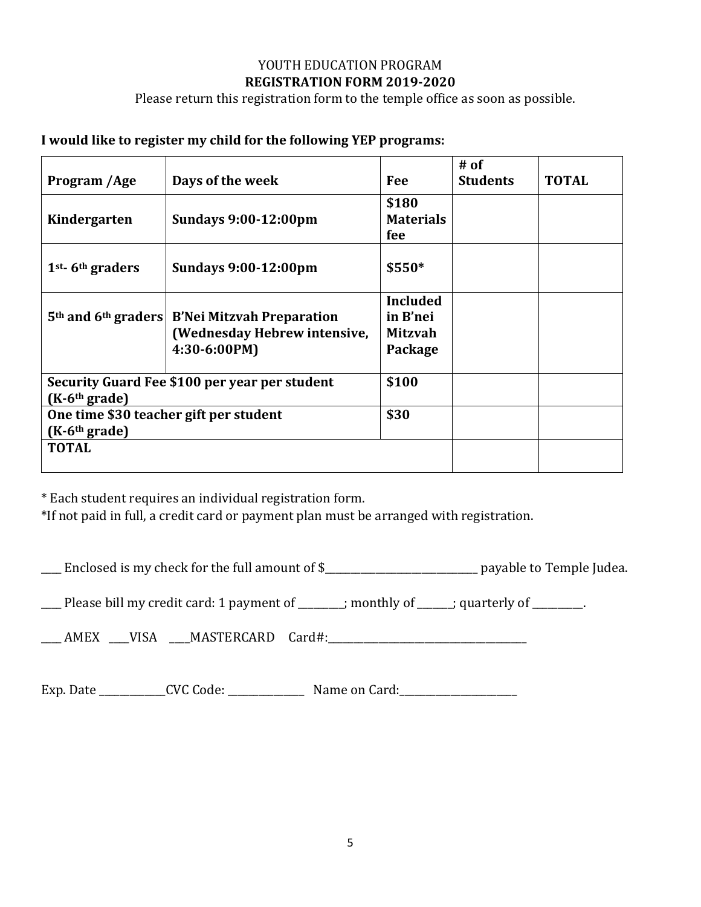#### YOUTH EDUCATION PROGRAM **REGISTRATION FORM 2019-2020**

Please return this registration form to the temple office as soon as possible.

#### **I would like to register my child for the following YEP programs:**

|                                                                  |                                                                         |                  | $#$ of          |              |
|------------------------------------------------------------------|-------------------------------------------------------------------------|------------------|-----------------|--------------|
| Program /Age                                                     | Days of the week                                                        | Fee              | <b>Students</b> | <b>TOTAL</b> |
|                                                                  |                                                                         | \$180            |                 |              |
| Kindergarten                                                     | <b>Sundays 9:00-12:00pm</b>                                             | <b>Materials</b> |                 |              |
|                                                                  |                                                                         | fee              |                 |              |
| $1st$ - 6 <sup>th</sup> graders                                  | <b>Sundays 9:00-12:00pm</b>                                             | \$550*           |                 |              |
|                                                                  |                                                                         | <b>Included</b>  |                 |              |
|                                                                  | 5 <sup>th</sup> and 6 <sup>th</sup> graders   B'Nei Mitzvah Preparation | in B'nei         |                 |              |
|                                                                  | (Wednesday Hebrew intensive,                                            | <b>Mitzvah</b>   |                 |              |
|                                                                  | 4:30-6:00PM)                                                            | Package          |                 |              |
| Security Guard Fee \$100 per year per student<br>$(K-6th grade)$ |                                                                         | \$100            |                 |              |
| One time \$30 teacher gift per student                           |                                                                         | \$30             |                 |              |
| $(K-6th grade)$                                                  |                                                                         |                  |                 |              |
| <b>TOTAL</b>                                                     |                                                                         |                  |                 |              |
|                                                                  |                                                                         |                  |                 |              |

\* Each student requires an individual registration form.

\*If not paid in full, a credit card or payment plan must be arranged with registration.

\_\_\_\_ Enclosed is my check for the full amount of \$\_\_\_\_\_\_\_\_\_\_\_\_\_\_\_\_\_\_\_\_\_\_\_\_\_\_\_\_\_\_ payable to Temple Judea.

 $\Box$  Please bill my credit card: 1 payment of  $\Box$  ; monthly of  $\Box$ ; quarterly of  $\Box$ 

\_\_\_\_ AMEX \_\_\_\_VISA \_\_\_\_MASTERCARD Card#:\_\_\_\_\_\_\_\_\_\_\_\_\_\_\_\_\_\_\_\_\_\_\_\_\_\_\_\_\_\_\_\_\_\_\_\_\_\_\_

Exp. Date \_\_\_\_\_\_\_\_\_\_\_\_\_CVC Code: \_\_\_\_\_\_\_\_\_\_\_\_\_\_\_ Name on Card:\_\_\_\_\_\_\_\_\_\_\_\_\_\_\_\_\_\_\_\_\_\_\_